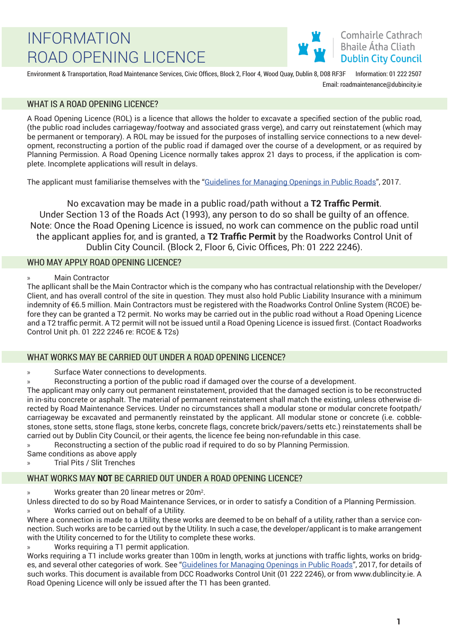### Comhairle Cathrach **Bhaile Átha Cliath Dublin City Council**

Environment & Transportation, Road Maintenance Services, Civic Offices, Block 2, Floor 4, Wood Quay, Dublin 8, D08 RF3F Information: 01 222 2507 Email: roadmaintenance@dubincity.ie

### WHAT IS A ROAD OPENING LICENCE?

A Road Opening Licence (ROL) is a licence that allows the holder to excavate a specified section of the public road, (the public road includes carriageway/footway and associated grass verge), and carry out reinstatement (which may be permanent or temporary). A ROL may be issued for the purposes of installing service connections to a new development, reconstructing a portion of the public road if damaged over the course of a development, or as required by Planning Permission. A Road Opening Licence normally takes approx 21 days to process, if the application is complete. Incomplete applications will result in delays.

The applicant must familiarise themselves with the "Guidelines for Managing Openings in Public Roads", 2017.

No excavation may be made in a public road/path without a **T2 Traffic Permit**. Under Section 13 of the Roads Act (1993), any person to do so shall be guilty of an offence. Note: Once the Road Opening Licence is issued, no work can commence on the public road until the applicant applies for, and is granted, a **T2 Traffic Permit** by the Roadworks Control Unit of Dublin City Council. (Block 2, Floor 6, Civic Offices, Ph: 01 222 2246).

### WHO MAY APPLY ROAD OPENING LICENCE?

» Main Contractor

The apllicant shall be the Main Contractor which is the company who has contractual relationship with the Developer/ Client, and has overall control of the site in question. They must also hold Public Liability Insurance with a minimum indemnity of €6.5 million. Main Contractors must be registered with the Roadworks Control Online System (RCOE) before they can be granted a T2 permit. No works may be carried out in the public road without a Road Opening Licence and a T2 traffic permit. A T2 permit will not be issued until a Road Opening Licence is issued first. (Contact Roadworks Control Unit ph. 01 222 2246 re: RCOE & T2s)

#### WHAT WORKS MAY BE CARRIED OUT UNDER A ROAD OPENING LICENCE?

Surface Water connections to developments.

» Reconstructing a portion of the public road if damaged over the course of a development.

The applicant may only carry out permanent reinstatement, provided that the damaged section is to be reconstructed in in-situ concrete or asphalt. The material of permanent reinstatement shall match the existing, unless otherwise directed by Road Maintenance Services. Under no circumstances shall a modular stone or modular concrete footpath/ carriageway be excavated and permanently reinstated by the applicant. All modular stone or concrete (i.e. cobblestones, stone setts, stone flags, stone kerbs, concrete flags, concrete brick/pavers/setts etc.) reinstatements shall be carried out by Dublin City Council, or their agents, the licence fee being non-refundable in this case.

» Reconstructing a section of the public road if required to do so by Planning Permission.

Same conditions as above apply

» Trial Pits / Slit Trenches

### WHAT WORKS MAY **NOT** BE CARRIED OUT UNDER A ROAD OPENING LICENCE?

» Works greater than 20 linear metres or 20m<sup>2</sup> .

Unless directed to do so by Road Maintenance Services, or in order to satisfy a Condition of a Planning Permission. » Works carried out on behalf of a Utility.

Where a connection is made to a Utility, these works are deemed to be on behalf of a utility, rather than a service connection. Such works are to be carried out by the Utility. In such a case, the developer/applicant is to make arrangement with the Utility concerned to for the Utility to complete these works.

» Works requiring a T1 permit application.

Works requiring a T1 include works greater than 100m in length, works at junctions with traffic lights, works on bridges, and several other categories of work. See "Guidelines for Managing Openings in Public Roads", 2017, for details of such works. This document is available from DCC Roadworks Control Unit (01 222 2246), or from www.dublincity.ie. A Road Opening Licence will only be issued after the T1 has been granted.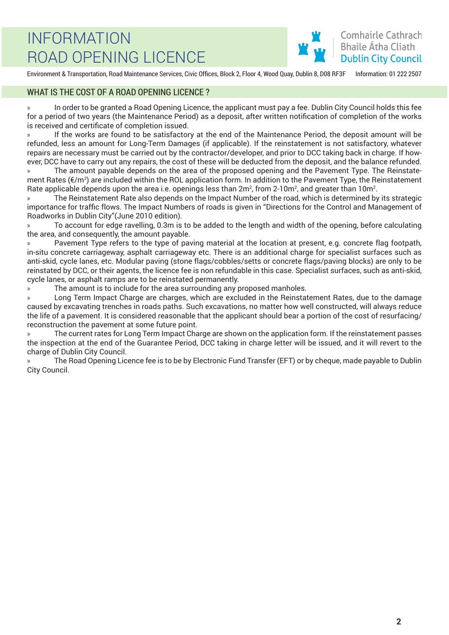Environment & Transportation, Road Maintenance Services, Civic Offices, Block 2, Floor 4, Wood Quay, Dublin 8, D08 RF3F Information: 01 222 2507

#### WHAT IS THE COST OF A ROAD OPENING LICENCE ?

» In order to be granted a Road Opening Licence, the applicant must pay a fee. Dublin City Council holds this fee for a period of two years (the Maintenance Period) as a deposit, after written notification of completion of the works is received and certificate of completion issued.

» If the works are found to be satisfactory at the end of the Maintenance Period, the deposit amount will be refunded, less an amount for Long-Term Damages (if applicable). If the reinstatement is not satisfactory, whatever repairs are necessary must be carried out by the contractor/developer, and prior to DCC taking back in charge. If however, DCC have to carry out any repairs, the cost of these will be deducted from the deposit, and the balance refunded.

» The amount payable depends on the area of the proposed opening and the Pavement Type. The Reinstatement Rates ( $f/m^2$ ) are included within the ROL application form. In addition to the Pavement Type, the Reinstatement Rate applicable depends upon the area i.e. openings less than 2m², from 2-10m², and greater than 10m².

» The Reinstatement Rate also depends on the Impact Number of the road, which is determined by its strategic importance for traffic flows. The Impact Numbers of roads is given in "Directions for the Control and Management of Roadworks in Dublin City"(June 2010 edition).

» To account for edge ravelling, 0.3m is to be added to the length and width of the opening, before calculating the area, and consequently, the amount payable.

» Pavement Type refers to the type of paving material at the location at present, e.g. concrete flag footpath, in-situ concrete carriageway, asphalt carriageway etc. There is an additional charge for specialist surfaces such as anti-skid, cycle lanes, etc. Modular paving (stone flags/cobbles/setts or concrete flags/paving blocks) are only to be reinstated by DCC, or their agents, the licence fee is non refundable in this case. Specialist surfaces, such as anti-skid, cycle lanes, or asphalt ramps are to be reinstated permanently.

» The amount is to include for the area surrounding any proposed manholes.

» Long Term Impact Charge are charges, which are excluded in the Reinstatement Rates, due to the damage caused by excavating trenches in roads paths. Such excavations, no matter how well constructed, will always reduce the life of a pavement. It is considered reasonable that the applicant should bear a portion of the cost of resurfacing/ reconstruction the pavement at some future point.

» The current rates for Long Term Impact Charge are shown on the application form. If the reinstatement passes the inspection at the end of the Guarantee Period, DCC taking in charge letter will be issued, and it will revert to the charge of Dublin City Council.

» The Road Opening Licence fee is to be by Electronic Fund Transfer (EFT) or by cheque, made payable to Dublin City Council.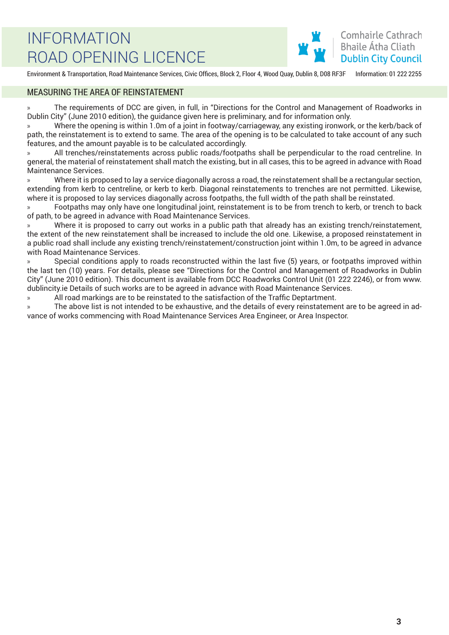

Environment & Transportation, Road Maintenance Services, Civic Offices, Block 2, Floor 4, Wood Quay, Dublin 8, D08 RF3F Information: 01 222 2255

#### MEASURING THE AREA OF REINSTATEMENT

» The requirements of DCC are given, in full, in "Directions for the Control and Management of Roadworks in Dublin City" (June 2010 edition), the guidance given here is preliminary, and for information only.

» Where the opening is within 1.0m of a joint in footway/carriageway, any existing ironwork, or the kerb/back of path, the reinstatement is to extend to same. The area of the opening is to be calculated to take account of any such features, and the amount payable is to be calculated accordingly.

» All trenches/reinstatements across public roads/footpaths shall be perpendicular to the road centreline. In general, the material of reinstatement shall match the existing, but in all cases, this to be agreed in advance with Road Maintenance Services.

» Where it is proposed to lay a service diagonally across a road, the reinstatement shall be a rectangular section, extending from kerb to centreline, or kerb to kerb. Diagonal reinstatements to trenches are not permitted. Likewise, where it is proposed to lay services diagonally across footpaths, the full width of the path shall be reinstated.

» Footpaths may only have one longitudinal joint, reinstatement is to be from trench to kerb, or trench to back of path, to be agreed in advance with Road Maintenance Services.

» Where it is proposed to carry out works in a public path that already has an existing trench/reinstatement, the extent of the new reinstatement shall be increased to include the old one. Likewise, a proposed reinstatement in a public road shall include any existing trench/reinstatement/construction joint within 1.0m, to be agreed in advance with Road Maintenance Services.

» Special conditions apply to roads reconstructed within the last five (5) years, or footpaths improved within the last ten (10) years. For details, please see "Directions for the Control and Management of Roadworks in Dublin City" (June 2010 edition). This document is available from DCC Roadworks Control Unit (01 222 2246), or from www. dublincity.ie Details of such works are to be agreed in advance with Road Maintenance Services.

» All road markings are to be reinstated to the satisfaction of the Traffic Deptartment.

» The above list is not intended to be exhaustive, and the details of every reinstatement are to be agreed in advance of works commencing with Road Maintenance Services Area Engineer, or Area Inspector.